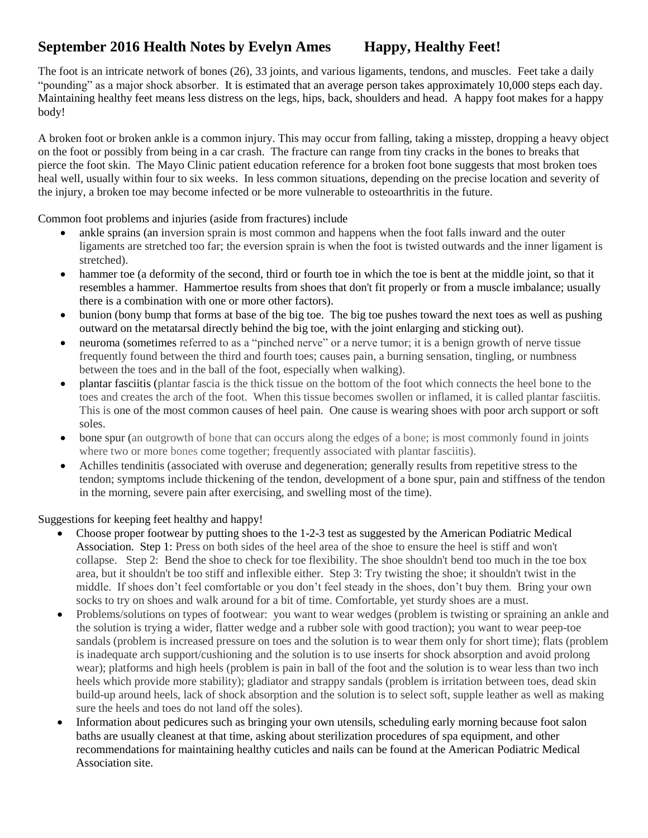## **September 2016 Health Notes by Evelyn Ames Happy, Healthy Feet!**

The foot is an intricate network of bones (26), 33 joints, and various ligaments, tendons, and muscles. Feet take a daily "pounding" as a major shock absorber. It is estimated that an average person takes approximately 10,000 steps each day. Maintaining healthy feet means less distress on the legs, hips, back, shoulders and head. A happy foot makes for a happy body!

A broken foot or broken ankle is a common injury. This may occur from falling, taking a misstep, dropping a heavy object on the foot or possibly from being in a car crash. The fracture can range from tiny cracks in the bones to breaks that pierce the foot skin. The Mayo Clinic patient education reference for a broken foot bone suggests that most broken toes heal well, usually within four to six weeks. In less common situations, depending on the precise location and severity of the injury, a broken toe may become infected or be more vulnerable to osteoarthritis in the future.

Common foot problems and injuries (aside from fractures) include

- ankle sprains (an inversion sprain is most common and happens when the foot falls inward and the outer ligaments are stretched too far; the eversion sprain is when the foot is twisted outwards and the inner ligament is stretched).
- hammer toe (a deformity of the second, third or fourth toe in which the toe is bent at the middle joint, so that it resembles a hammer. Hammertoe results from shoes that don't fit properly or from a muscle imbalance; usually there is a combination with one or more other factors).
- bunion (bony bump that forms at base of the big toe. The big toe pushes toward the next toes as well as pushing outward on the metatarsal directly behind the big toe, with the joint enlarging and sticking out).
- neuroma (sometimes referred to as a "pinched nerve" or a nerve tumor; it is a benign growth of nerve tissue frequently found between the third and fourth toes; causes pain, a burning sensation, tingling, or numbness between the toes and in the ball of the foot, especially when walking).
- plantar fasciitis (plantar fascia is the thick tissue on the bottom of the foot which connects the heel bone to the toes and creates the arch of the foot. When this tissue becomes swollen or inflamed, it is called plantar fasciitis. This is one of the most common causes of heel pain. One cause is wearing shoes with poor arch support or soft soles.
- bone spur (an outgrowth of bone that can occurs along the edges of a bone; is most commonly found in joints where two or more bones come together; frequently associated with plantar fasciitis).
- Achilles tendinitis (associated with overuse and degeneration; generally results from repetitive stress to the tendon; symptoms include thickening of the tendon, development of a bone spur, pain and stiffness of the tendon in the morning, severe pain after exercising, and swelling most of the time).

Suggestions for keeping feet healthy and happy!

- Choose proper footwear by putting shoes to the 1-2-3 test as suggested by the American Podiatric Medical Association. Step 1: Press on both sides of the heel area of the shoe to ensure the heel is stiff and won't collapse. Step 2: Bend the shoe to check for toe flexibility. The shoe shouldn't bend too much in the toe box area, but it shouldn't be too stiff and inflexible either. Step 3: Try twisting the shoe; it shouldn't twist in the middle. If shoes don't feel comfortable or you don't feel steady in the shoes, don't buy them. Bring your own socks to try on shoes and walk around for a bit of time. Comfortable, yet sturdy shoes are a must.
- Problems/solutions on types of footwear: you want to wear wedges (problem is twisting or spraining an ankle and the solution is trying a wider, flatter wedge and a rubber sole with good traction); you want to wear peep-toe sandals (problem is increased pressure on toes and the solution is to wear them only for short time); flats (problem is inadequate arch support/cushioning and the solution is to use inserts for shock absorption and avoid prolong wear); platforms and high heels (problem is pain in ball of the foot and the solution is to wear less than two inch heels which provide more stability); gladiator and strappy sandals (problem is irritation between toes, dead skin build-up around heels, lack of shock absorption and the solution is to select soft, supple leather as well as making sure the heels and toes do not land off the soles).
- Information about pedicures such as bringing your own utensils, scheduling early morning because foot salon baths are usually cleanest at that time, asking about sterilization procedures of spa equipment, and other recommendations for maintaining healthy cuticles and nails can be found at the American Podiatric Medical Association site.